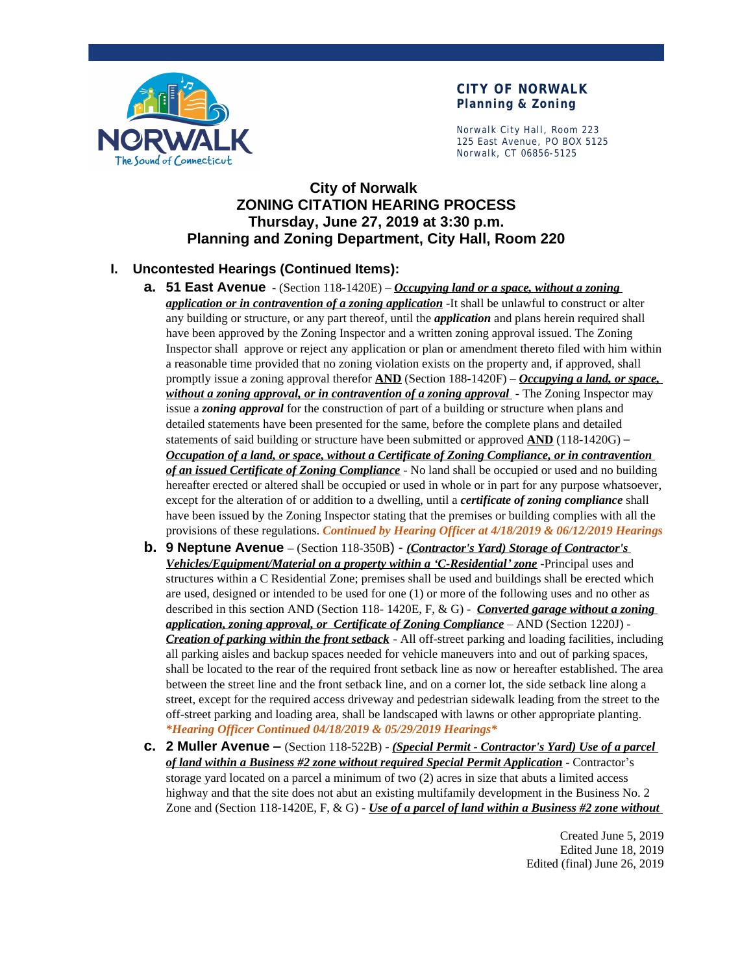

## **CITY OF NORWALK Planning & Zoning**

Norwalk City Hall, Room 223 125 East Avenue, PO BOX 5125 Norwalk, CT 06856-5125

# **City of Norwalk ZONING CITATION HEARING PROCESS Thursday, June 27, 2019 at 3:30 p.m. Planning and Zoning Department, City Hall, Room 220**

# **I. Uncontested Hearings (Continued Items):**

- **a. 51 East Avenue** (Section 118-1420E) *Occupying land or a space, without a zoning application or in contravention of a zoning application* -It shall be unlawful to construct or alter any building or structure, or any part thereof, until the *application* and plans herein required shall have been approved by the Zoning Inspector and a written zoning approval issued. The Zoning Inspector shall approve or reject any application or plan or amendment thereto filed with him within a reasonable time provided that no zoning violation exists on the property and, if approved, shall promptly issue a zoning approval therefor **AND** (Section 188-1420F) – *Occupying a land, or space, without a zoning approval, or in contravention of a zoning approval* - The Zoning Inspector may issue a *zoning approval* for the construction of part of a building or structure when plans and detailed statements have been presented for the same, before the complete plans and detailed statements of said building or structure have been submitted or approved **AND** (118-1420G) – *Occupation of a land, or space, without a Certificate of Zoning Compliance, or in contravention of an issued Certificate of Zoning Compliance* - No land shall be occupied or used and no building hereafter erected or altered shall be occupied or used in whole or in part for any purpose whatsoever, except for the alteration of or addition to a dwelling, until a *certificate of zoning compliance* shall have been issued by the Zoning Inspector stating that the premises or building complies with all the provisions of these regulations. *Continued by Hearing Officer at 4/18/2019 & 06/12/2019 Hearings*
- **b. 9 Neptune Avenue –** (Section 118-350B) *(Contractor's Yard) Storage of Contractor's Vehicles/Equipment/Material on a property within a 'C-Residential' zone* -Principal uses and structures within a C Residential Zone; premises shall be used and buildings shall be erected which are used, designed or intended to be used for one (1) or more of the following uses and no other as described in this section AND (Section 118- 1420E, F, & G) - *Converted garage without a zoning application, zoning approval, or Certificate of Zoning Compliance* – AND (Section 1220J) - *Creation of parking within the front setback* - All off-street parking and loading facilities, including all parking aisles and backup spaces needed for vehicle maneuvers into and out of parking spaces, shall be located to the rear of the required front setback line as now or hereafter established. The area between the street line and the front setback line, and on a corner lot, the side setback line along a street, except for the required access driveway and pedestrian sidewalk leading from the street to the off-street parking and loading area, shall be landscaped with lawns or other appropriate planting. *\*Hearing Officer Continued 04/18/2019 & 05/29/2019 Hearings\**
- **c. 2 Muller Avenue –** (Section 118-522B) *(Special Permit Contractor's Yard) Use of a parcel of land within a Business #2 zone without required Special Permit Application* - Contractor's storage yard located on a parcel a minimum of two (2) acres in size that abuts a limited access highway and that the site does not abut an existing multifamily development in the Business No. 2 Zone and (Section 118-1420E, F, & G) - *Use of a parcel of land within a Business #2 zone without*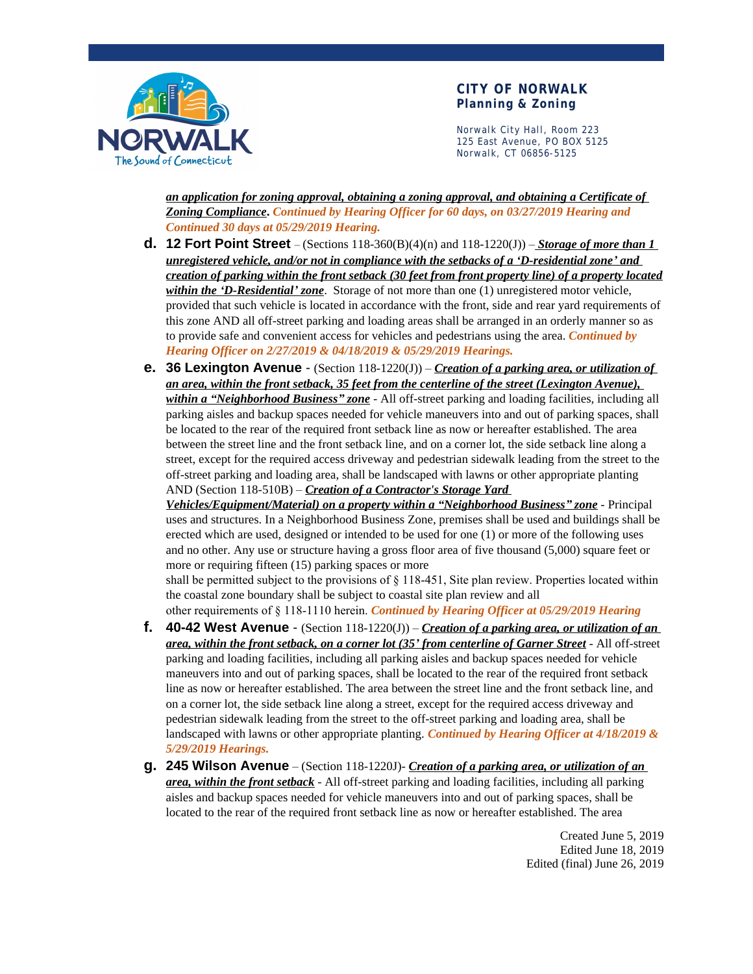

#### **CITY OF NORWALK Planning & Zoning**

Norwalk City Hall, Room 223 125 East Avenue, PO BOX 5125 Norwalk, CT 06856-5125

*an application for zoning approval, obtaining a zoning approval, and obtaining a Certificate of Zoning Compliance***.** *Continued by Hearing Officer for 60 days, on 03/27/2019 Hearing and Continued 30 days at 05/29/2019 Hearing.*

- **d. 12 Fort Point Street** (Sections 118-360(B)(4)(n) and 118-1220(J)) *Storage of more than 1 unregistered vehicle, and/or not in compliance with the setbacks of a 'D-residential zone' and creation of parking within the front setback (30 feet from front property line) of a property located within the 'D-Residential' zone*. Storage of not more than one (1) unregistered motor vehicle, provided that such vehicle is located in accordance with the front, side and rear yard requirements of this zone AND all off-street parking and loading areas shall be arranged in an orderly manner so as to provide safe and convenient access for vehicles and pedestrians using the area. *Continued by Hearing Officer on 2/27/2019 & 04/18/2019 & 05/29/2019 Hearings.*
- **e. 36 Lexington Avenue**  (Section 118-1220(J)) *Creation of a parking area, or utilization of an area, within the front setback, 35 feet from the centerline of the street (Lexington Avenue), within a "Neighborhood Business" zone* - All off-street parking and loading facilities, including all parking aisles and backup spaces needed for vehicle maneuvers into and out of parking spaces, shall be located to the rear of the required front setback line as now or hereafter established. The area between the street line and the front setback line, and on a corner lot, the side setback line along a street, except for the required access driveway and pedestrian sidewalk leading from the street to the off-street parking and loading area, shall be landscaped with lawns or other appropriate planting AND (Section 118-510B) – *Creation of a Contractor's Storage Yard*

*Vehicles/Equipment/Material) on a property within a "Neighborhood Business" zone* - Principal uses and structures. In a Neighborhood Business Zone, premises shall be used and buildings shall be erected which are used, designed or intended to be used for one (1) or more of the following uses and no other. Any use or structure having a gross floor area of five thousand (5,000) square feet or more or requiring fifteen (15) parking spaces or more

shall be permitted subject to the provisions of § 118-451, Site plan review. Properties located within the coastal zone boundary shall be subject to coastal site plan review and all

other requirements of § 118-1110 herein. *Continued by Hearing Officer at 05/29/2019 Hearing*

- **f. 40-42 West Avenue**  (Section 118-1220(J)) *Creation of a parking area, or utilization of an area, within the front setback, on a corner lot (35' from centerline of Garner Street* - All off-street parking and loading facilities, including all parking aisles and backup spaces needed for vehicle maneuvers into and out of parking spaces, shall be located to the rear of the required front setback line as now or hereafter established. The area between the street line and the front setback line, and on a corner lot, the side setback line along a street, except for the required access driveway and pedestrian sidewalk leading from the street to the off-street parking and loading area, shall be landscaped with lawns or other appropriate planting. *Continued by Hearing Officer at 4/18/2019 & 5/29/2019 Hearings.*
- **g. 245 Wilson Avenue** (Section 118-1220J)- *Creation of a parking area, or utilization of an area, within the front setback* - All off-street parking and loading facilities, including all parking aisles and backup spaces needed for vehicle maneuvers into and out of parking spaces, shall be located to the rear of the required front setback line as now or hereafter established. The area